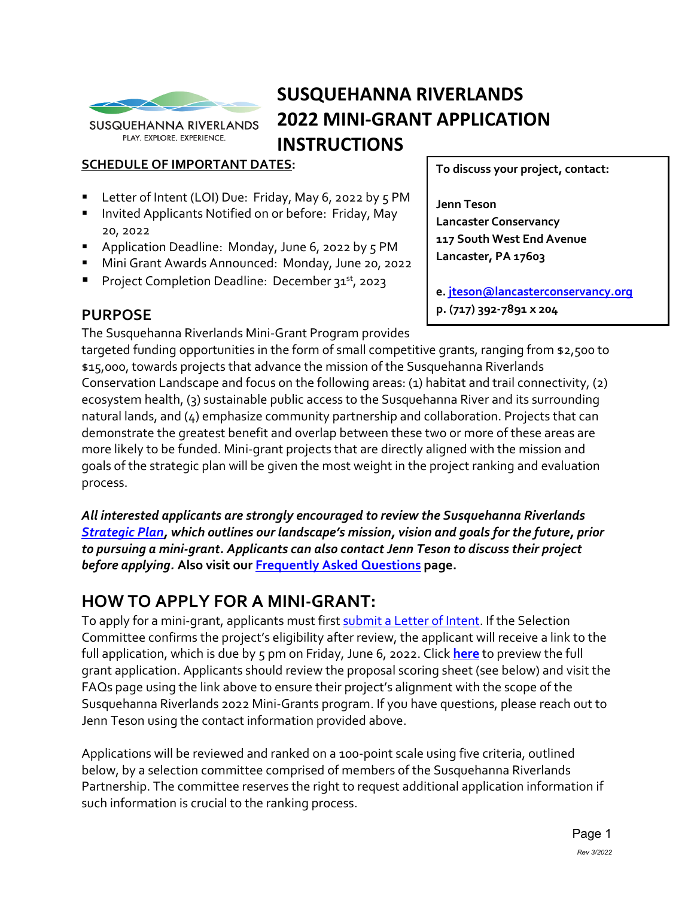

**SUSQUEHANNA RIVERLANDS** PLAY. EXPLORE. EXPERIENCE.

# **SUSQUEHANNA RIVERLANDS 2022 MINI-GRANT APPLICATION INSTRUCTIONS**

#### **SCHEDULE OF IMPORTANT DATES:**

- Letter of Intent (LOI) Due: Friday, May 6, 2022 by 5 PM
- **Invited Applicants Notified on or before: Friday, May** 20, 2022
- **Application Deadline: Monday, June 6, 2022 by 5 PM**
- Mini Grant Awards Announced: Monday, June 20, 2022
- Project Completion Deadline: December 31<sup>st</sup>, 2023

## **PURPOSE**

The Susquehanna Riverlands Mini-Grant Program provides

**To discuss your project, contact:** 

**Jenn Teson Lancaster Conservancy 117 South West End Avenue Lancaster, PA 17603**

**e. [jteson@lancasterconservancy.org](mailto:jteson@lancasterconservancy.org) p. (717) 392-7891 x 204**

targeted funding opportunities in the form of small competitive grants, ranging from \$2,500 to \$15,000, towards projects that advance the mission of the Susquehanna Riverlands Conservation Landscape and focus on the following areas: (1) habitat and trail connectivity, (2) ecosystem health, (3) sustainable public access to the Susquehanna River and its surrounding natural lands, and (4) emphasize community partnership and collaboration. Projects that can demonstrate the greatest benefit and overlap between these two or more of these areas are more likely to be funded. Mini-grant projects that are directly aligned with the mission and goals of the strategic plan will be given the most weight in the project ranking and evaluation process.

*All interested applicants are strongly encouraged to review the Susquehanna Riverlands [Strategic Plan,](https://susquehannariverlands.com/wp-content/uploads/2019/12/SusquehannaRiverlandsStrategicPlan_Oct_2019.pdf) which outlines our landscape's mission, vision and goals for the future, prior to pursuing a mini-grant. Applicants can also contact Jenn Teson to discuss their project before applying.* **Also visit our [Frequently Asked Questions](https://www.lancasterconservancy.org/engaging-our-community/minigrants-about/#FAQ) page.**

# **HOW TO APPLY FOR A MINI-GRANT:**

To apply for a mini-grant, applicants must first [submit a Letter of Intent.](https://docs.google.com/forms/d/e/1FAIpQLSdEawforEh7kbH2RGSZS3M7v370iRHy_LvbQGBEV-YymvTRGQ/viewform?usp=sf_link) If the Selection Committee confirms the project's eligibility after review, the applicant will receive a link to the full application, which is due by 5 pm on Friday, June 6, 2022. Click **[here](https://www.lancasterconservancy.org/wp-content/uploads/2022/03/2022-Susquehanna-Riverlands-Mini-Grant-Application-Google-Forms.pdf)** to preview the full grant application. Applicants should review the proposal scoring sheet (see below) and visit the FAQs page using the link above to ensure their project's alignment with the scope of the Susquehanna Riverlands 2022 Mini-Grants program. If you have questions, please reach out to Jenn Teson using the contact information provided above.

Applications will be reviewed and ranked on a 100-point scale using five criteria, outlined below, by a selection committee comprised of members of the Susquehanna Riverlands Partnership. The committee reserves the right to request additional application information if such information is crucial to the ranking process.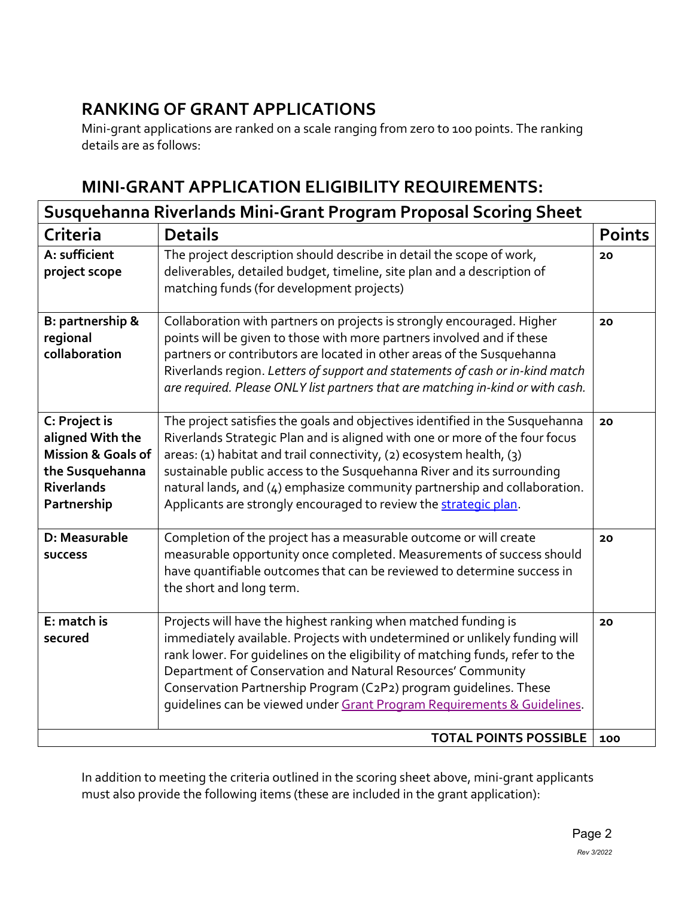# **RANKING OF GRANT APPLICATIONS**

Mini-grant applications are ranked on a scale ranging from zero to 100 points. The ranking details are as follows:

## **MINI-GRANT APPLICATION ELIGIBILITY REQUIREMENTS:**

| Susquehanna Riverlands Mini-Grant Program Proposal Scoring Sheet                                                          |                                                                                                                                                                                                                                                                                                                                                                                                                                                                |               |
|---------------------------------------------------------------------------------------------------------------------------|----------------------------------------------------------------------------------------------------------------------------------------------------------------------------------------------------------------------------------------------------------------------------------------------------------------------------------------------------------------------------------------------------------------------------------------------------------------|---------------|
| Criteria                                                                                                                  | <b>Details</b>                                                                                                                                                                                                                                                                                                                                                                                                                                                 | <b>Points</b> |
| A: sufficient<br>project scope                                                                                            | The project description should describe in detail the scope of work,<br>deliverables, detailed budget, timeline, site plan and a description of<br>matching funds (for development projects)                                                                                                                                                                                                                                                                   | 20            |
| B: partnership &<br>regional<br>collaboration                                                                             | Collaboration with partners on projects is strongly encouraged. Higher<br>points will be given to those with more partners involved and if these<br>partners or contributors are located in other areas of the Susquehanna<br>Riverlands region. Letters of support and statements of cash or in-kind match<br>are required. Please ONLY list partners that are matching in-kind or with cash.                                                                 | 20            |
| C: Project is<br>aligned With the<br><b>Mission &amp; Goals of</b><br>the Susquehanna<br><b>Riverlands</b><br>Partnership | The project satisfies the goals and objectives identified in the Susquehanna<br>Riverlands Strategic Plan and is aligned with one or more of the four focus<br>areas: (1) habitat and trail connectivity, (2) ecosystem health, (3)<br>sustainable public access to the Susquehanna River and its surrounding<br>natural lands, and (4) emphasize community partnership and collaboration.<br>Applicants are strongly encouraged to review the strategic plan. | 20            |
| D: Measurable<br><b>SUCCESS</b>                                                                                           | Completion of the project has a measurable outcome or will create<br>measurable opportunity once completed. Measurements of success should<br>have quantifiable outcomes that can be reviewed to determine success in<br>the short and long term.                                                                                                                                                                                                              | 20            |
| E: match is<br>secured                                                                                                    | Projects will have the highest ranking when matched funding is<br>immediately available. Projects with undetermined or unlikely funding will<br>rank lower. For guidelines on the eligibility of matching funds, refer to the<br>Department of Conservation and Natural Resources' Community<br>Conservation Partnership Program (C2P2) program guidelines. These<br>quidelines can be viewed under Grant Program Requirements & Guidelines.                   | 20            |
| <b>TOTAL POINTS POSSIBLE</b>                                                                                              |                                                                                                                                                                                                                                                                                                                                                                                                                                                                | 100           |

In addition to meeting the criteria outlined in the scoring sheet above, mini-grant applicants must also provide the following items (these are included in the grant application):